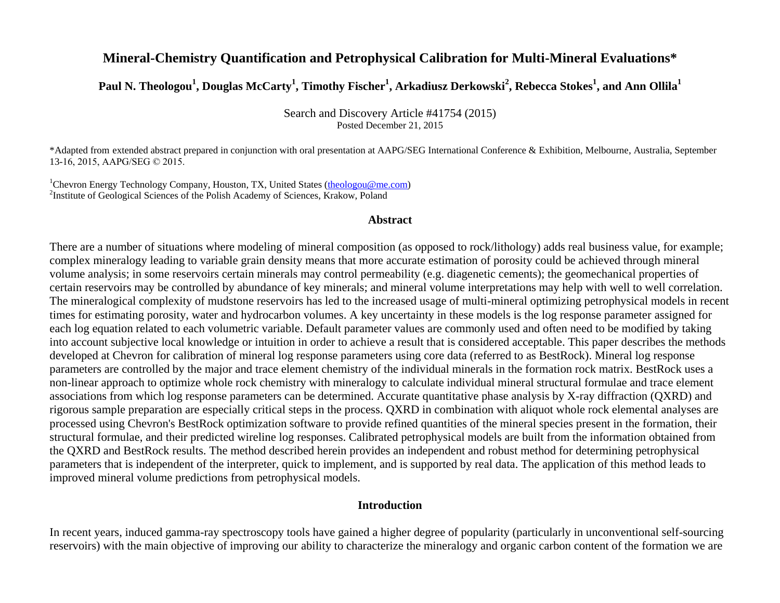# **Mineral-Chemistry Quantification and Petrophysical Calibration for Multi-Mineral Evaluations\***

**Paul N. Theologou<sup>1</sup> , Douglas McCarty<sup>1</sup> , Timothy Fischer<sup>1</sup> , Arkadiusz Derkowski<sup>2</sup> , Rebecca Stokes<sup>1</sup> , and Ann Ollila<sup>1</sup>**

Search and Discovery Article #41754 (2015) Posted December 21, 2015

\*Adapted from extended abstract prepared in conjunction with oral presentation at AAPG/SEG International Conference & Exhibition, Melbourne, Australia, September 13-16, 2015, AAPG/SEG © 2015.

<sup>1</sup>Chevron Energy Technology Company, Houston, TX, United States [\(theologou@me.com\)](mailto:theologou@me.com) 2 Institute of Geological Sciences of the Polish Academy of Sciences, Krakow, Poland

#### **Abstract**

There are a number of situations where modeling of mineral composition (as opposed to rock/lithology) adds real business value, for example; complex mineralogy leading to variable grain density means that more accurate estimation of porosity could be achieved through mineral volume analysis; in some reservoirs certain minerals may control permeability (e.g. diagenetic cements); the geomechanical properties of certain reservoirs may be controlled by abundance of key minerals; and mineral volume interpretations may help with well to well correlation. The mineralogical complexity of mudstone reservoirs has led to the increased usage of multi-mineral optimizing petrophysical models in recent times for estimating porosity, water and hydrocarbon volumes. A key uncertainty in these models is the log response parameter assigned for each log equation related to each volumetric variable. Default parameter values are commonly used and often need to be modified by taking into account subjective local knowledge or intuition in order to achieve a result that is considered acceptable. This paper describes the methods developed at Chevron for calibration of mineral log response parameters using core data (referred to as BestRock). Mineral log response parameters are controlled by the major and trace element chemistry of the individual minerals in the formation rock matrix. BestRock uses a non-linear approach to optimize whole rock chemistry with mineralogy to calculate individual mineral structural formulae and trace element associations from which log response parameters can be determined. Accurate quantitative phase analysis by X-ray diffraction (QXRD) and rigorous sample preparation are especially critical steps in the process. QXRD in combination with aliquot whole rock elemental analyses are processed using Chevron's BestRock optimization software to provide refined quantities of the mineral species present in the formation, their structural formulae, and their predicted wireline log responses. Calibrated petrophysical models are built from the information obtained from the QXRD and BestRock results. The method described herein provides an independent and robust method for determining petrophysical parameters that is independent of the interpreter, quick to implement, and is supported by real data. The application of this method leads to improved mineral volume predictions from petrophysical models.

### **Introduction**

In recent years, induced gamma-ray spectroscopy tools have gained a higher degree of popularity (particularly in unconventional self-sourcing reservoirs) with the main objective of improving our ability to characterize the mineralogy and organic carbon content of the formation we are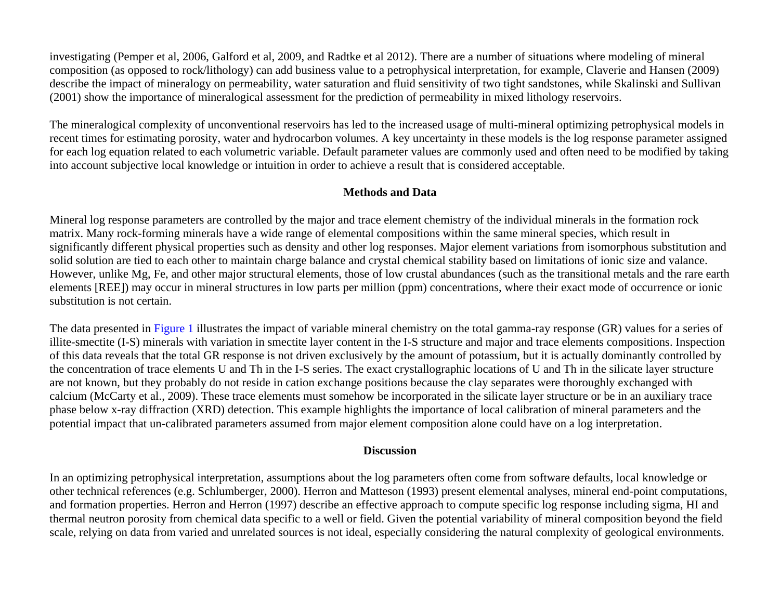investigating (Pemper et al, 2006, Galford et al, 2009, and Radtke et al 2012). There are a number of situations where modeling of mineral composition (as opposed to rock/lithology) can add business value to a petrophysical interpretation, for example, Claverie and Hansen (2009) describe the impact of mineralogy on permeability, water saturation and fluid sensitivity of two tight sandstones, while Skalinski and Sullivan (2001) show the importance of mineralogical assessment for the prediction of permeability in mixed lithology reservoirs.

The mineralogical complexity of unconventional reservoirs has led to the increased usage of multi-mineral optimizing petrophysical models in recent times for estimating porosity, water and hydrocarbon volumes. A key uncertainty in these models is the log response parameter assigned for each log equation related to each volumetric variable. Default parameter values are commonly used and often need to be modified by taking into account subjective local knowledge or intuition in order to achieve a result that is considered acceptable.

# **Methods and Data**

Mineral log response parameters are controlled by the major and trace element chemistry of the individual minerals in the formation rock matrix. Many rock-forming minerals have a wide range of elemental compositions within the same mineral species, which result in significantly different physical properties such as density and other log responses. Major element variations from isomorphous substitution and solid solution are tied to each other to maintain charge balance and crystal chemical stability based on limitations of ionic size and valance. However, unlike Mg, Fe, and other major structural elements, those of low crustal abundances (such as the transitional metals and the rare earth elements [REE]) may occur in mineral structures in low parts per million (ppm) concentrations, where their exact mode of occurrence or ionic substitution is not certain.

The data presented i[n Figure 1](#page-6-0) illustrates the impact of variable mineral chemistry on the total gamma-ray response (GR) values for a series of illite-smectite (I-S) minerals with variation in smectite layer content in the I-S structure and major and trace elements compositions. Inspection of this data reveals that the total GR response is not driven exclusively by the amount of potassium, but it is actually dominantly controlled by the concentration of trace elements U and Th in the I-S series. The exact crystallographic locations of U and Th in the silicate layer structure are not known, but they probably do not reside in cation exchange positions because the clay separates were thoroughly exchanged with calcium (McCarty et al., 2009). These trace elements must somehow be incorporated in the silicate layer structure or be in an auxiliary trace phase below x-ray diffraction (XRD) detection. This example highlights the importance of local calibration of mineral parameters and the potential impact that un-calibrated parameters assumed from major element composition alone could have on a log interpretation.

## **Discussion**

In an optimizing petrophysical interpretation, assumptions about the log parameters often come from software defaults, local knowledge or other technical references (e.g. Schlumberger, 2000). Herron and Matteson (1993) present elemental analyses, mineral end-point computations, and formation properties. Herron and Herron (1997) describe an effective approach to compute specific log response including sigma, HI and thermal neutron porosity from chemical data specific to a well or field. Given the potential variability of mineral composition beyond the field scale, relying on data from varied and unrelated sources is not ideal, especially considering the natural complexity of geological environments.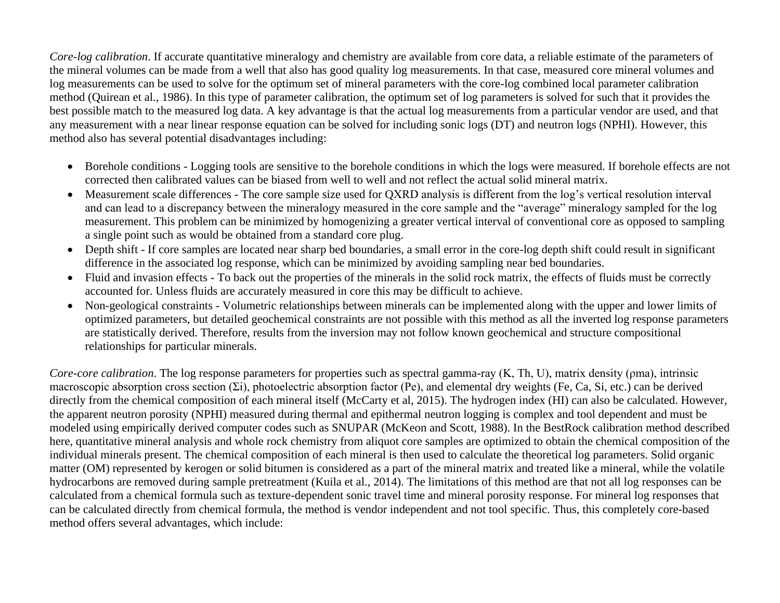*Core-log calibration*. If accurate quantitative mineralogy and chemistry are available from core data, a reliable estimate of the parameters of the mineral volumes can be made from a well that also has good quality log measurements. In that case, measured core mineral volumes and log measurements can be used to solve for the optimum set of mineral parameters with the core-log combined local parameter calibration method (Quirean et al., 1986). In this type of parameter calibration, the optimum set of log parameters is solved for such that it provides the best possible match to the measured log data. A key advantage is that the actual log measurements from a particular vendor are used, and that any measurement with a near linear response equation can be solved for including sonic logs (DT) and neutron logs (NPHI). However, this method also has several potential disadvantages including:

- Borehole conditions Logging tools are sensitive to the borehole conditions in which the logs were measured. If borehole effects are not corrected then calibrated values can be biased from well to well and not reflect the actual solid mineral matrix.
- Measurement scale differences The core sample size used for QXRD analysis is different from the log's vertical resolution interval and can lead to a discrepancy between the mineralogy measured in the core sample and the "average" mineralogy sampled for the log measurement. This problem can be minimized by homogenizing a greater vertical interval of conventional core as opposed to sampling a single point such as would be obtained from a standard core plug.
- Depth shift If core samples are located near sharp bed boundaries, a small error in the core-log depth shift could result in significant difference in the associated log response, which can be minimized by avoiding sampling near bed boundaries.
- Fluid and invasion effects To back out the properties of the minerals in the solid rock matrix, the effects of fluids must be correctly accounted for. Unless fluids are accurately measured in core this may be difficult to achieve.
- Non-geological constraints Volumetric relationships between minerals can be implemented along with the upper and lower limits of optimized parameters, but detailed geochemical constraints are not possible with this method as all the inverted log response parameters are statistically derived. Therefore, results from the inversion may not follow known geochemical and structure compositional relationships for particular minerals.

*Core-core calibration*. The log response parameters for properties such as spectral gamma-ray (K, Th, U), matrix density (ρma), intrinsic macroscopic absorption cross section (Σi), photoelectric absorption factor (Pe), and elemental dry weights (Fe, Ca, Si, etc.) can be derived directly from the chemical composition of each mineral itself (McCarty et al, 2015). The hydrogen index (HI) can also be calculated. However, the apparent neutron porosity (NPHI) measured during thermal and epithermal neutron logging is complex and tool dependent and must be modeled using empirically derived computer codes such as SNUPAR (McKeon and Scott, 1988). In the BestRock calibration method described here, quantitative mineral analysis and whole rock chemistry from aliquot core samples are optimized to obtain the chemical composition of the individual minerals present. The chemical composition of each mineral is then used to calculate the theoretical log parameters. Solid organic matter (OM) represented by kerogen or solid bitumen is considered as a part of the mineral matrix and treated like a mineral, while the volatile hydrocarbons are removed during sample pretreatment (Kuila et al., 2014). The limitations of this method are that not all log responses can be calculated from a chemical formula such as texture-dependent sonic travel time and mineral porosity response. For mineral log responses that can be calculated directly from chemical formula, the method is vendor independent and not tool specific. Thus, this completely core-based method offers several advantages, which include: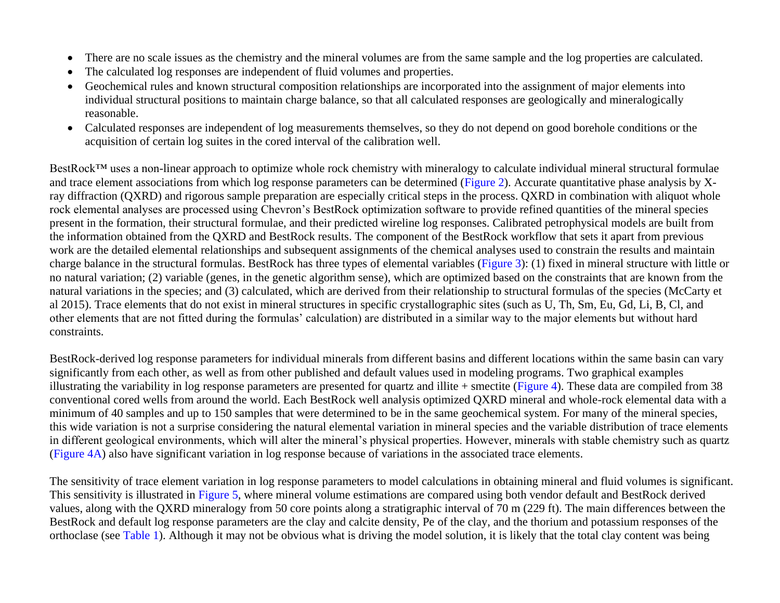- There are no scale issues as the chemistry and the mineral volumes are from the same sample and the log properties are calculated.
- The calculated log responses are independent of fluid volumes and properties.
- Geochemical rules and known structural composition relationships are incorporated into the assignment of major elements into individual structural positions to maintain charge balance, so that all calculated responses are geologically and mineralogically reasonable.
- Calculated responses are independent of log measurements themselves, so they do not depend on good borehole conditions or the acquisition of certain log suites in the cored interval of the calibration well.

BestRock<sup>™</sup> uses a non-linear approach to optimize whole rock chemistry with mineralogy to calculate individual mineral structural formulae and trace element associations from which log response parameters can be determined [\(Figure 2\)](#page-7-0). Accurate quantitative phase analysis by Xray diffraction (QXRD) and rigorous sample preparation are especially critical steps in the process. QXRD in combination with aliquot whole rock elemental analyses are processed using Chevron's BestRock optimization software to provide refined quantities of the mineral species present in the formation, their structural formulae, and their predicted wireline log responses. Calibrated petrophysical models are built from the information obtained from the QXRD and BestRock results. The component of the BestRock workflow that sets it apart from previous work are the detailed elemental relationships and subsequent assignments of the chemical analyses used to constrain the results and maintain charge balance in the structural formulas. BestRock has three types of elemental variables [\(Figure 3\)](#page-8-0): (1) fixed in mineral structure with little or no natural variation; (2) variable (genes, in the genetic algorithm sense), which are optimized based on the constraints that are known from the natural variations in the species; and (3) calculated, which are derived from their relationship to structural formulas of the species (McCarty et al 2015). Trace elements that do not exist in mineral structures in specific crystallographic sites (such as U, Th, Sm, Eu, Gd, Li, B, Cl, and other elements that are not fitted during the formulas' calculation) are distributed in a similar way to the major elements but without hard constraints.

BestRock-derived log response parameters for individual minerals from different basins and different locations within the same basin can vary significantly from each other, as well as from other published and default values used in modeling programs. Two graphical examples illustrating the variability in log response parameters are presented for quartz and illite  $+$  smectite [\(Figure 4\)](#page-9-0). These data are compiled from 38 conventional cored wells from around the world. Each BestRock well analysis optimized QXRD mineral and whole-rock elemental data with a minimum of 40 samples and up to 150 samples that were determined to be in the same geochemical system. For many of the mineral species, this wide variation is not a surprise considering the natural elemental variation in mineral species and the variable distribution of trace elements in different geological environments, which will alter the mineral's physical properties. However, minerals with stable chemistry such as quartz [\(Figure 4A\)](#page-9-0) also have significant variation in log response because of variations in the associated trace elements.

The sensitivity of trace element variation in log response parameters to model calculations in obtaining mineral and fluid volumes is significant. This sensitivity is illustrated in [Figure 5,](#page-10-0) where mineral volume estimations are compared using both vendor default and BestRock derived values, along with the QXRD mineralogy from 50 core points along a stratigraphic interval of 70 m (229 ft). The main differences between the BestRock and default log response parameters are the clay and calcite density, Pe of the clay, and the thorium and potassium responses of the orthoclase (see [Table 1\)](#page-11-0). Although it may not be obvious what is driving the model solution, it is likely that the total clay content was being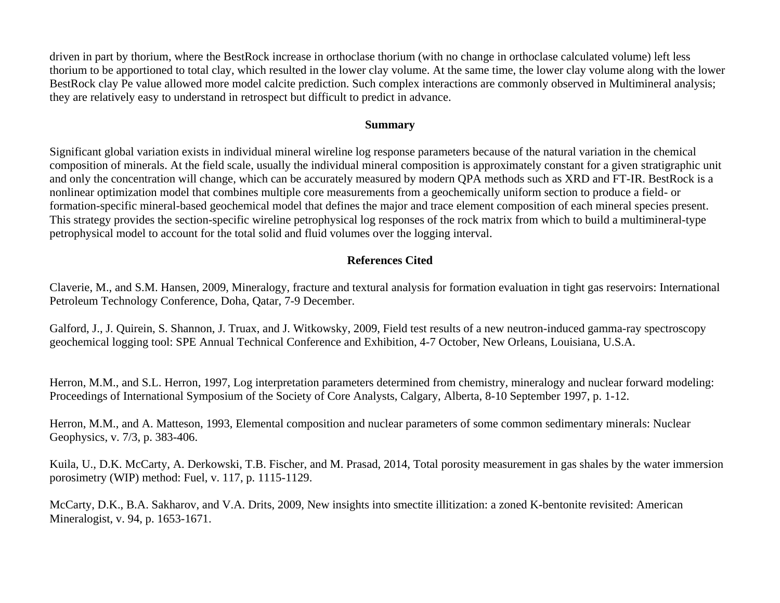driven in part by thorium, where the BestRock increase in orthoclase thorium (with no change in orthoclase calculated volume) left less thorium to be apportioned to total clay, which resulted in the lower clay volume. At the same time, the lower clay volume along with the lower BestRock clay Pe value allowed more model calcite prediction. Such complex interactions are commonly observed in Multimineral analysis; they are relatively easy to understand in retrospect but difficult to predict in advance.

### **Summary**

Significant global variation exists in individual mineral wireline log response parameters because of the natural variation in the chemical composition of minerals. At the field scale, usually the individual mineral composition is approximately constant for a given stratigraphic unit and only the concentration will change, which can be accurately measured by modern QPA methods such as XRD and FT-IR. BestRock is a nonlinear optimization model that combines multiple core measurements from a geochemically uniform section to produce a field- or formation-specific mineral-based geochemical model that defines the major and trace element composition of each mineral species present. This strategy provides the section-specific wireline petrophysical log responses of the rock matrix from which to build a multimineral-type petrophysical model to account for the total solid and fluid volumes over the logging interval.

# **References Cited**

Claverie, M., and S.M. Hansen, 2009, Mineralogy, fracture and textural analysis for formation evaluation in tight gas reservoirs: International Petroleum Technology Conference, Doha, Qatar, 7-9 December.

Galford, J., J. Quirein, S. Shannon, J. Truax, and J. Witkowsky, 2009, Field test results of a new neutron-induced gamma-ray spectroscopy geochemical logging tool: SPE Annual Technical Conference and Exhibition, 4-7 October, New Orleans, Louisiana, U.S.A.

Herron, M.M., and S.L. Herron, 1997, Log interpretation parameters determined from chemistry, mineralogy and nuclear forward modeling: Proceedings of International Symposium of the Society of Core Analysts, Calgary, Alberta, 8-10 September 1997, p. 1-12.

Herron, M.M., and A. Matteson, 1993, Elemental composition and nuclear parameters of some common sedimentary minerals: Nuclear Geophysics, v. 7/3, p. 383-406.

Kuila, U., D.K. McCarty, A. Derkowski, T.B. Fischer, and M. Prasad, 2014, Total porosity measurement in gas shales by the water immersion porosimetry (WIP) method: Fuel, v. 117, p. 1115-1129.

McCarty, D.K., B.A. Sakharov, and V.A. Drits, 2009, New insights into smectite illitization: a zoned K-bentonite revisited: American Mineralogist, v. 94, p. 1653-1671.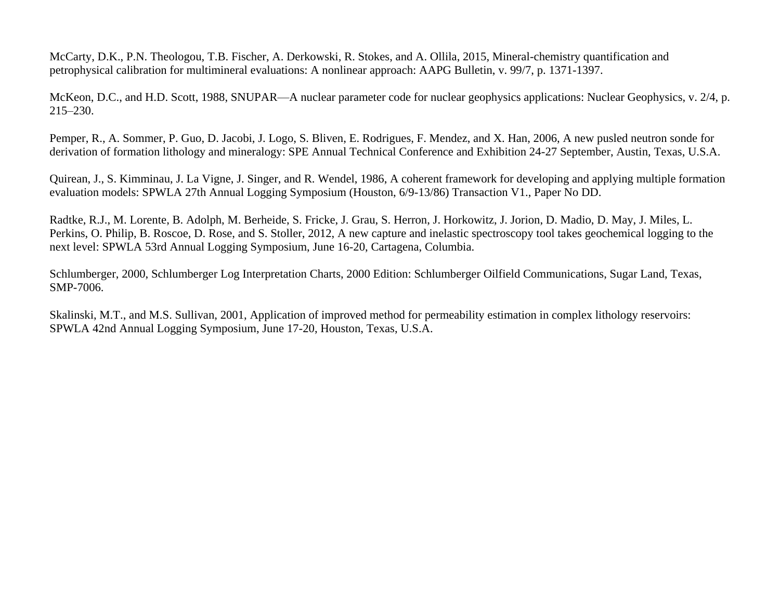McCarty, D.K., P.N. Theologou, T.B. Fischer, A. Derkowski, R. Stokes, and A. Ollila, 2015, Mineral-chemistry quantification and petrophysical calibration for multimineral evaluations: A nonlinear approach: AAPG Bulletin, v. 99/7, p. 1371-1397.

McKeon, D.C., and H.D. Scott, 1988, SNUPAR—A nuclear parameter code for nuclear geophysics applications: Nuclear Geophysics, v. 2/4, p. 215–230.

Pemper, R., A. Sommer, P. Guo, D. Jacobi, J. Logo, S. Bliven, E. Rodrigues, F. Mendez, and X. Han, 2006, A new pusled neutron sonde for derivation of formation lithology and mineralogy: SPE Annual Technical Conference and Exhibition 24-27 September, Austin, Texas, U.S.A.

Quirean, J., S. Kimminau, J. La Vigne, J. Singer, and R. Wendel, 1986, A coherent framework for developing and applying multiple formation evaluation models: SPWLA 27th Annual Logging Symposium (Houston, 6/9-13/86) Transaction V1., Paper No DD.

Radtke, R.J., M. Lorente, B. Adolph, M. Berheide, S. Fricke, J. Grau, S. Herron, J. Horkowitz, J. Jorion, D. Madio, D. May, J. Miles, L. Perkins, O. Philip, B. Roscoe, D. Rose, and S. Stoller, 2012, A new capture and inelastic spectroscopy tool takes geochemical logging to the next level: SPWLA 53rd Annual Logging Symposium, June 16-20, Cartagena, Columbia.

Schlumberger, 2000, Schlumberger Log Interpretation Charts, 2000 Edition: Schlumberger Oilfield Communications, Sugar Land, Texas, SMP-7006.

Skalinski, M.T., and M.S. Sullivan, 2001, Application of improved method for permeability estimation in complex lithology reservoirs: SPWLA 42nd Annual Logging Symposium, June 17-20, Houston, Texas, U.S.A.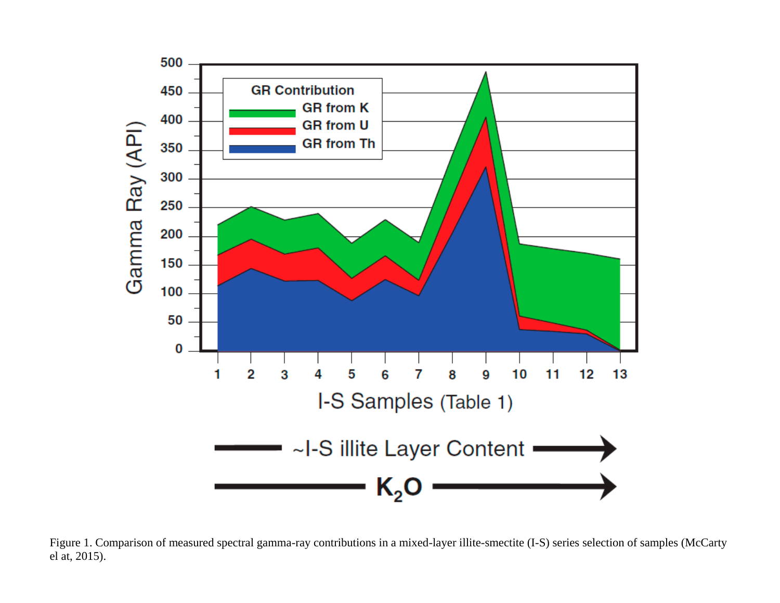<span id="page-6-0"></span>

Figure 1. Comparison of measured spectral gamma-ray contributions in a mixed-layer illite-smectite (I-S) series selection of samples (McCarty el at, 2015).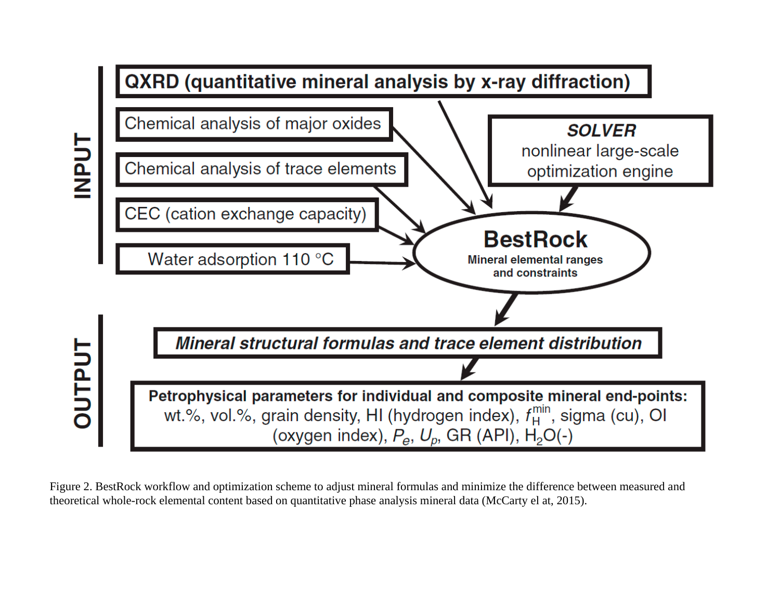<span id="page-7-0"></span>

Figure 2. BestRock workflow and optimization scheme to adjust mineral formulas and minimize the difference between measured and theoretical whole-rock elemental content based on quantitative phase analysis mineral data (McCarty el at, 2015).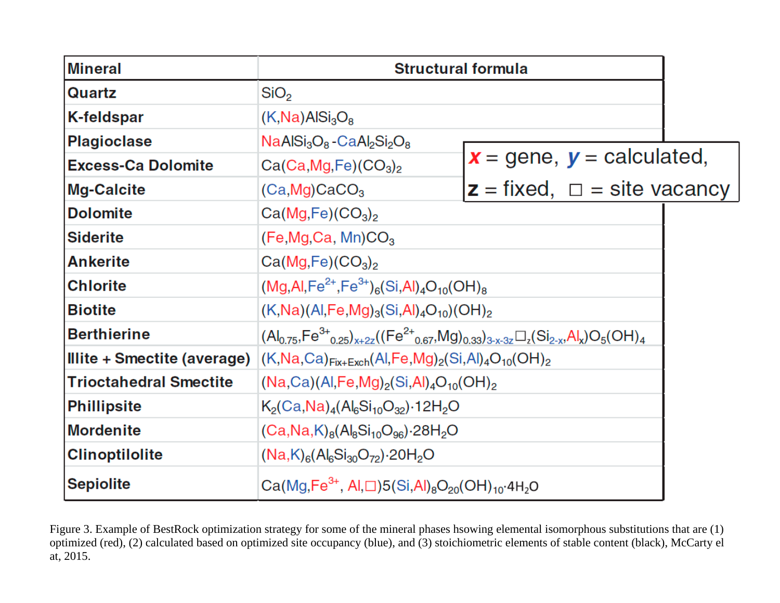<span id="page-8-0"></span>

| <b>Mineral</b>                | <b>Structural formula</b>                                                                                                          |                                     |  |  |  |  |
|-------------------------------|------------------------------------------------------------------------------------------------------------------------------------|-------------------------------------|--|--|--|--|
| Quartz                        | SiO <sub>2</sub>                                                                                                                   |                                     |  |  |  |  |
| <b>K-feldspar</b>             | $(K, Na)$ AlSi <sub>3</sub> O <sub>8</sub>                                                                                         |                                     |  |  |  |  |
| <b>Plagioclase</b>            | $NaAISi3O8 - CaAl2Si2O8$                                                                                                           |                                     |  |  |  |  |
| <b>Excess-Ca Dolomite</b>     | $Ca(Ca, Mg, Fe)(CO3)2$                                                                                                             | $x =$ gene, $y =$ calculated,       |  |  |  |  |
| <b>Mg-Calcite</b>             | $(Ca, Mg)$ CaCO <sub>3</sub>                                                                                                       | $z = fixed$ , $\Box$ = site vacancy |  |  |  |  |
| <b>Dolomite</b>               | Ca(Mg,Fe)(CO <sub>3</sub> ) <sub>2</sub>                                                                                           |                                     |  |  |  |  |
| <b>Siderite</b>               | (Fe, Mg, Ca, Mn)CO <sub>3</sub>                                                                                                    |                                     |  |  |  |  |
| <b>Ankerite</b>               | Ca(Mg,Fe)(CO <sub>3</sub> ) <sub>2</sub>                                                                                           |                                     |  |  |  |  |
| <b>Chlorite</b>               | $(Mg, Al, Fe^{2+}, Fe^{3+})_6(Si, Al)_4O_{10}(OH)_8$                                                                               |                                     |  |  |  |  |
| <b>Biotite</b>                | $(K,Na)(Al,Fe,Mg)_{3}(Si,Al)_{4}O_{10})(OH)_{2}$                                                                                   |                                     |  |  |  |  |
| <b>Berthierine</b>            | $(A _{0.75}, \text{Fe}^{3+}_{0.25})_{x+2z}((\text{Fe}^{2+}_{0.67}, \text{Mg})_{0.33})_{3-x-3z} \square_z(Si_{2-x}, Al_x)O_5(OH)_4$ |                                     |  |  |  |  |
| Illite + Smectite (average)   | $(K, Na, Ca)_{Fix+Exch}(Al, Fe, Mg)_2(Si, Al)_4O_{10}(OH)_2$                                                                       |                                     |  |  |  |  |
| <b>Trioctahedral Smectite</b> | $(Na, Ca)(Al, Fe, Mg)_2(Si, Al)_4O_{10}(OH)_2$                                                                                     |                                     |  |  |  |  |
| <b>Phillipsite</b>            | $K_2(Ca,Na)_4(Al_6Si_{10}O_{32})\cdot 12H_2O$                                                                                      |                                     |  |  |  |  |
| <b>Mordenite</b>              | $(Ca, Na, K)_{8}(Al_{8}Si_{10}O_{96}) \cdot 28H_{2}O$                                                                              |                                     |  |  |  |  |
| <b>Clinoptilolite</b>         | $(Na,K)_{6}(Al_{6}Si_{30}O_{72})\cdot 20H_{2}O$                                                                                    |                                     |  |  |  |  |
| <b>Sepiolite</b>              | $Ca(Mg, Fe^{3+}, Al, \square)5(Si, Al)_{8}O_{20}(OH)_{10}4H_{2}O$                                                                  |                                     |  |  |  |  |

Figure 3. Example of BestRock optimization strategy for some of the mineral phases hsowing elemental isomorphous substitutions that are (1) optimized (red), (2) calculated based on optimized site occupancy (blue), and (3) stoichiometric elements of stable content (black), McCarty el at, 2015.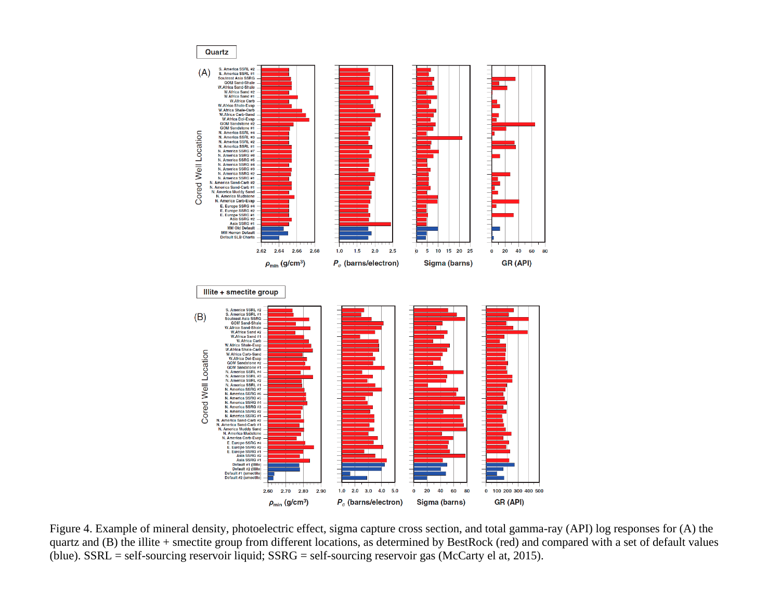<span id="page-9-0"></span>

Figure 4. Example of mineral density, photoelectric effect, sigma capture cross section, and total gamma-ray (API) log responses for (A) the quartz and (B) the illite + smectite group from different locations, as determined by BestRock (red) and compared with a set of default values (blue). SSRL = self-sourcing reservoir liquid; SSRG = self-sourcing reservoir gas (McCarty el at, 2015).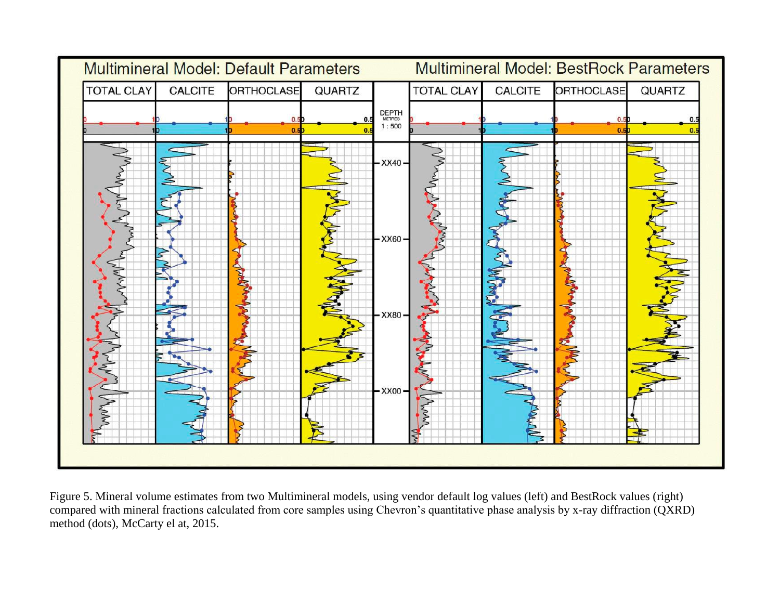<span id="page-10-0"></span>

Figure 5. Mineral volume estimates from two Multimineral models, using vendor default log values (left) and BestRock values (right) compared with mineral fractions calculated from core samples using Chevron's quantitative phase analysis by x-ray diffraction (QXRD) method (dots), McCarty el at, 2015.